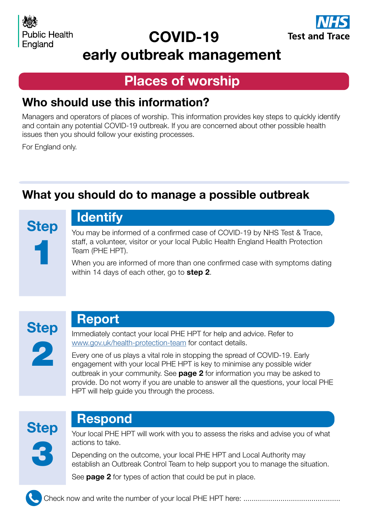

# COVID-19



## early outbreak management

### Places of worship

### Who should use this information?

Managers and operators of places of worship. This information provides key steps to quickly identify and contain any potential COVID-19 outbreak. If you are concerned about other possible health issues then you should follow your existing processes.

For England only.

## What you should do to manage a possible outbreak

**Step** 1

# **Identify**

You may be informed of a confirmed case of COVID-19 by NHS Test & Trace, staff, a volunteer, visitor or your local Public Health England Health Protection Team (PHE HPT).

When you are informed of more than one confirmed case with symptoms dating within 14 days of each other, go to **step 2**.



### Report

Immediately contact your local PHE HPT for help and advice. Refer to [www.gov.uk/health-protection-team](https://www.gov.uk/health-protection-team) for contact details.

Every one of us plays a vital role in stopping the spread of COVID-19. Early engagement with your local PHE HPT is key to minimise any possible wider outbreak in your community. See **page 2** for information you may be asked to provide. Do not worry if you are unable to answer all the questions, your local PHE HPT will help guide you through the process.



### Respond

Your local PHE HPT will work with you to assess the risks and advise you of what actions to take.

Depending on the outcome, your local PHE HPT and Local Authority may establish an Outbreak Control Team to help support you to manage the situation.

See **page 2** for types of action that could be put in place.